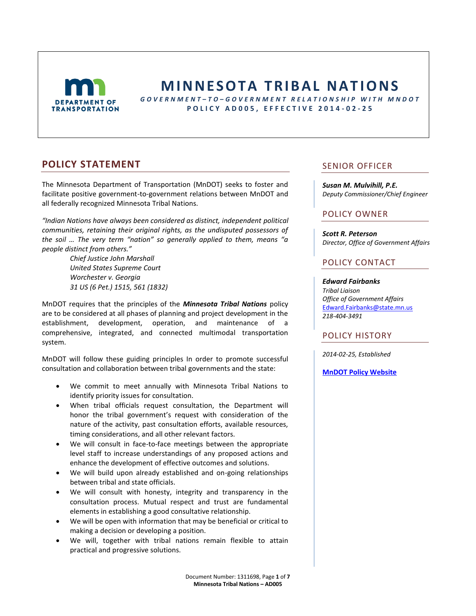

# **M I N N E S O T A T R I B A L N A T I O NS**

*G O V E R N M E N T – T O – G O V E R N M E N T R E L A T I O N S H I P W I T H M N D O T* **P O L I C Y A D 0 0 5 , E F F E C T I V E 2 0 1 4 - 0 2 - 2 5**

# **POLICY STATEMENT**

The Minnesota Department of Transportation (MnDOT) seeks to foster and facilitate positive government-to-government relations between MnDOT and all federally recognized Minnesota Tribal Nations.

*"Indian Nations have always been considered as distinct, independent political communities, retaining their original rights, as the undisputed possessors of the soil … The very term "nation" so generally applied to them, means "a people distinct from others."*

> *Chief Justice John Marshall United States Supreme Court Worchester v. Georgia 31 US (6 Pet.) 1515, 561 (1832)*

MnDOT requires that the principles of the *Minnesota Tribal Nations* policy are to be considered at all phases of planning and project development in the establishment, development, operation, and maintenance of a comprehensive, integrated, and connected multimodal transportation system.

MnDOT will follow these guiding principles In order to promote successful consultation and collaboration between tribal governments and the state:

- We commit to meet annually with Minnesota Tribal Nations to identify priority issues for consultation.
- When tribal officials request consultation, the Department will honor the tribal government's request with consideration of the nature of the activity, past consultation efforts, available resources, timing considerations, and all other relevant factors.
- We will consult in face-to-face meetings between the appropriate level staff to increase understandings of any proposed actions and enhance the development of effective outcomes and solutions.
- We will build upon already established and on-going relationships between tribal and state officials.
- We will consult with honesty, integrity and transparency in the consultation process. Mutual respect and trust are fundamental elements in establishing a good consultative relationship.
- We will be open with information that may be beneficial or critical to making a decision or developing a position.
- We will, together with tribal nations remain flexible to attain practical and progressive solutions.

### SENIOR OFFICER

*Susan M. Mulvihill, P.E. Deputy Commissioner/Chief Engineer*

### POLICY OWNER

*Scott R. Peterson Director, Office of Government Affairs*

### POLICY CONTACT

*Edward Fairbanks Tribal Liaison Office of Government Affairs* [Edward.Fairbanks@state.mn.us](mailto:Edward.fairbanks@state.mn.us) *218-404-3491*

### POLICY HISTORY

*2014-02-25, Established*

**[MnDOT Policy Website](http://www.dot.state.mn.us/policy/index.html)**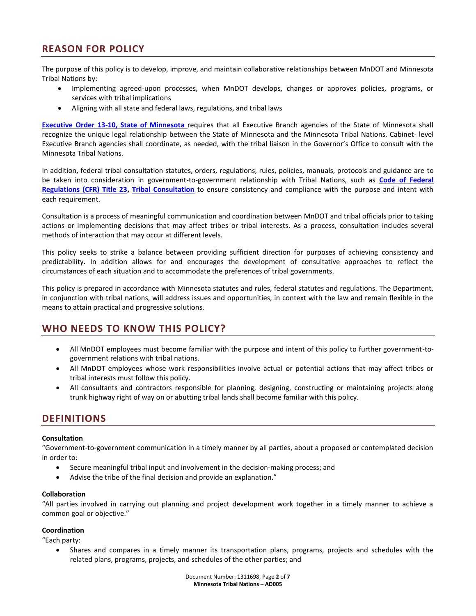# **REASON FOR POLICY**

The purpose of this policy is to develop, improve, and maintain collaborative relationships between MnDOT and Minnesota Tribal Nations by:

- Implementing agreed-upon processes, when MnDOT develops, changes or approves policies, programs, or services with tribal implications
- Aligning with all state and federal laws, regulations, and tribal laws

**[Executive Order 13-10, State of Minnesota](http://mn.gov/governor/images/EO-13-10.pdf)** requires that all Executive Branch agencies of the State of Minnesota shall recognize the unique legal relationship between the State of Minnesota and the Minnesota Tribal Nations. Cabinet- level Executive Branch agencies shall coordinate, as needed, with the tribal liaison in the Governor's Office to consult with the Minnesota Tribal Nations.

In addition, federal tribal consultation statutes, orders, regulations, rules, policies, manuals, protocols and guidance are to be taken into consideration in government-to-government relationship with Tribal Nations, such as **[Code of Federal](http://www.archives.gov/federal-register/cfr/subject-title-23.html)  [Regulations \(CFR\) Title 23,](http://www.archives.gov/federal-register/cfr/subject-title-23.html) [Tribal Consultation](http://www.gsa.gov/portal/content/105007?utm_source=PBS&utm_medium=print-radio&utm_term=tribalconsultation&utm_campaign=shortcuts)** to ensure consistency and compliance with the purpose and intent with each requirement.

Consultation is a process of meaningful communication and coordination between MnDOT and tribal officials prior to taking actions or implementing decisions that may affect tribes or tribal interests. As a process, consultation includes several methods of interaction that may occur at different levels.

This policy seeks to strike a balance between providing sufficient direction for purposes of achieving consistency and predictability. In addition allows for and encourages the development of consultative approaches to reflect the circumstances of each situation and to accommodate the preferences of tribal governments.

This policy is prepared in accordance with Minnesota statutes and rules, federal statutes and regulations. The Department, in conjunction with tribal nations, will address issues and opportunities, in context with the law and remain flexible in the means to attain practical and progressive solutions.

# **WHO NEEDS TO KNOW THIS POLICY?**

- All MnDOT employees must become familiar with the purpose and intent of this policy to further government-togovernment relations with tribal nations.
- All MnDOT employees whose work responsibilities involve actual or potential actions that may affect tribes or tribal interests must follow this policy.
- All consultants and contractors responsible for planning, designing, constructing or maintaining projects along trunk highway right of way on or abutting tribal lands shall become familiar with this policy.

# **DEFINITIONS**

### **Consultation**

"Government-to-government communication in a timely manner by all parties, about a proposed or contemplated decision in order to:

- Secure meaningful tribal input and involvement in the decision-making process; and
- Advise the tribe of the final decision and provide an explanation."

#### **Collaboration**

"All parties involved in carrying out planning and project development work together in a timely manner to achieve a common goal or objective."

### **Coordination**

"Each party:

 Shares and compares in a timely manner its transportation plans, programs, projects and schedules with the related plans, programs, projects, and schedules of the other parties; and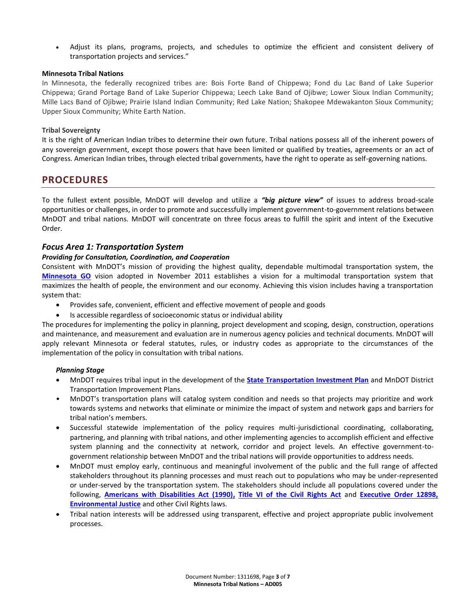Adjust its plans, programs, projects, and schedules to optimize the efficient and consistent delivery of transportation projects and services."

### **Minnesota Tribal Nations**

In Minnesota, the federally recognized tribes are: Bois Forte Band of Chippewa; Fond du Lac Band of Lake Superior Chippewa; Grand Portage Band of Lake Superior Chippewa; Leech Lake Band of Ojibwe; Lower Sioux Indian Community; Mille Lacs Band of Ojibwe; Prairie Island Indian Community; Red Lake Nation; Shakopee Mdewakanton Sioux Community; Upper Sioux Community; White Earth Nation.

### **Tribal Sovereignty**

It is the right of American Indian tribes to determine their own future. Tribal nations possess all of the inherent powers of any sovereign government, except those powers that have been limited or qualified by treaties, agreements or an act of Congress. American Indian tribes, through elected tribal governments, have the right to operate as self-governing nations.

### **PROCEDURES**

To the fullest extent possible, MnDOT will develop and utilize a *"big picture view"* of issues to address broad-scale opportunities or challenges, in order to promote and successfully implement government-to-government relations between MnDOT and tribal nations. MnDOT will concentrate on three focus areas to fulfill the spirit and intent of the Executive Order.

### *Focus Area 1: Transportation System*

### *Providing for Consultation, Coordination, and Cooperation*

Consistent with MnDOT's mission of providing the highest quality, dependable multimodal transportation system, the **[Minnesota GO](http://www.dot.state.mn.us/minnesotago/)** vision adopted in November 2011 establishes a vision for a multimodal transportation system that maximizes the health of people, the environment and our economy. Achieving this vision includes having a transportation system that:

- Provides safe, convenient, efficient and effective movement of people and goods
- Is accessible regardless of socioeconomic status or individual ability

The procedures for implementing the policy in planning, project development and scoping, design, construction, operations and maintenance, and measurement and evaluation are in numerous agency policies and technical documents. MnDOT will apply relevant Minnesota or federal statutes, rules, or industry codes as appropriate to the circumstances of the implementation of the policy in consultation with tribal nations.

### *Planning Stage*

- MnDOT requires tribal input in the development of the **[State Transportation Investment Plan](http://www.dot.state.mn.us/planning/stateplan/index.html)** and MnDOT District Transportation Improvement Plans.
- MnDOT's transportation plans will catalog system condition and needs so that projects may prioritize and work towards systems and networks that eliminate or minimize the impact of system and network gaps and barriers for tribal nation's members.
- Successful statewide implementation of the policy requires multi-jurisdictional coordinating, collaborating, partnering, and planning with tribal nations, and other implementing agencies to accomplish efficient and effective system planning and the connectivity at network, corridor and project levels. An effective government-togovernment relationship between MnDOT and the tribal nations will provide opportunities to address needs.
- MnDOT must employ early, continuous and meaningful involvement of the public and the full range of affected stakeholders throughout its planning processes and must reach out to populations who may be under-represented or under-served by the transportation system. The stakeholders should include all populations covered under the following, **[Americans with Disabilities Act \(1990\),](http://www.dol.gov/dol/topic/disability/ada.htm) Title VI of the Civil Rights Act** and **[Executive Order 12898,](http://www.fema.gov/environmental-planning-and-historic-preservation-program/executive-order-12898-environmental-justice)  [Environmental Justice](http://www.fema.gov/environmental-planning-and-historic-preservation-program/executive-order-12898-environmental-justice)** and other Civil Rights laws.
- Tribal nation interests will be addressed using transparent, effective and project appropriate public involvement processes.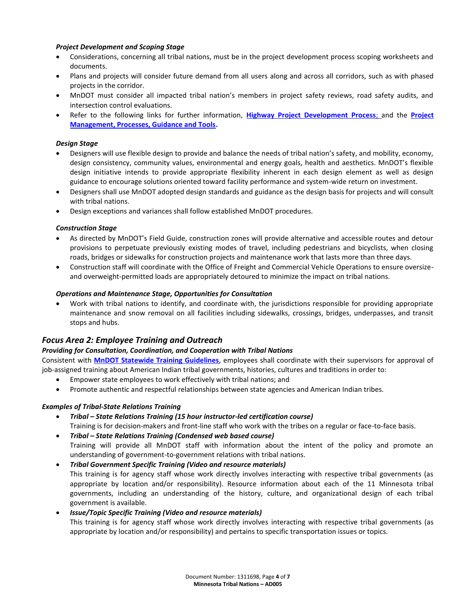### *Project Development and Scoping Stage*

- Considerations, concerning all tribal nations, must be in the project development process scoping worksheets and documents.
- Plans and projects will consider future demand from all users along and across all corridors, such as with phased projects in the corridor.
- MnDOT must consider all impacted tribal nation's members in project safety reviews, road safety audits, and intersection control evaluations.
- Refer to the following links for further information, **[Highway Project Development Process](http://www.dot.state.mn.us/planning/hpdp/external-coordination.html)**; and the **[Project](http://www.dot.state.mn.us/pm/processes.html)  [Management, Processes, Guidance and Tools.](http://www.dot.state.mn.us/pm/processes.html)**

### *Design Stage*

- Designers will use flexible design to provide and balance the needs of tribal nation's safety, and mobility, economy, design consistency, community values, environmental and energy goals, health and aesthetics. MnDOT's flexible design initiative intends to provide appropriate flexibility inherent in each design element as well as design guidance to encourage solutions oriented toward facility performance and system-wide return on investment.
- Designers shall use MnDOT adopted design standards and guidance as the design basis for projects and will consult with tribal nations.
- Design exceptions and variances shall follow established MnDOT procedures.

### *Construction Stage*

- As directed by MnDOT's Field Guide, construction zones will provide alternative and accessible routes and detour provisions to perpetuate previously existing modes of travel, including pedestrians and bicyclists, when closing roads, bridges or sidewalks for construction projects and maintenance work that lasts more than three days.
- Construction staff will coordinate with the Office of Freight and Commercial Vehicle Operations to ensure oversizeand overweight-permitted loads are appropriately detoured to minimize the impact on tribal nations.

### *Operations and Maintenance Stage, Opportunities for Consultation*

 Work with tribal nations to identify, and coordinate with, the jurisdictions responsible for providing appropriate maintenance and snow removal on all facilities including sidewalks, crossings, bridges, underpasses, and transit stops and hubs.

### *Focus Area 2: Employee Training and Outreach*

### *Providing for Consultation, Coordination, and Cooperation with Tribal Nations*

Consistent with **[MnDOT Statewide Training Guidelines](http://ihub.dot.state.mn.us/training/documents/FY2014%20Statewide%20Training%20Guidelines.pdf)**, employees shall coordinate with their supervisors for approval of job-assigned training about American Indian tribal governments, histories, cultures and traditions in order to:

- Empower state employees to work effectively with tribal nations; and
- Promote authentic and respectful relationships between state agencies and American Indian tribes.

### *Examples of Tribal-State Relations Training*

- *Tribal – State Relations Training (15 hour instructor-led certification course)* Training is for decision-makers and front-line staff who work with the tribes on a regular or face-to-face basis.
- *Tribal – State Relations Training (Condensed web based course)* Training will provide all MnDOT staff with information about the intent of the policy and promote an understanding of government-to-government relations with tribal nations.
- *Tribal Government Specific Training (Video and resource materials)* This training is for agency staff whose work directly involves interacting with respective tribal governments (as appropriate by location and/or responsibility). Resource information about each of the 11 Minnesota tribal governments, including an understanding of the history, culture, and organizational design of each tribal government is available.
- *Issue/Topic Specific Training (Video and resource materials)* This training is for agency staff whose work directly involves interacting with respective tribal governments (as appropriate by location and/or responsibility) and pertains to specific transportation issues or topics.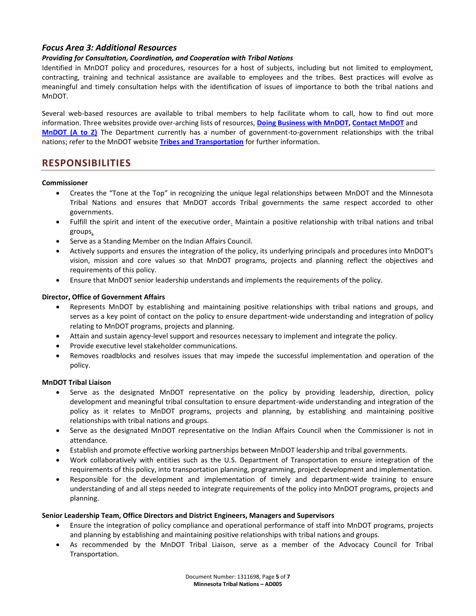### *Focus Area 3: Additional Resources*

### *Providing for Consultation, Coordination, and Cooperation with Tribal Nations*

Identified in MnDOT policy and procedures, resources for a host of subjects, including but not limited to employment, contracting, training and technical assistance are available to employees and the tribes. Best practices will evolve as meaningful and timely consultation helps with the identification of issues of importance to both the tribal nations and MnDOT.

Several web-based resources are available to tribal members to help facilitate whom to call, how to find out more information. Three websites provide over-arching lists of resources, **[Doing Business with MnDOT,](http://www.dot.state.mn.us/business.html) [Contact MnDOT](http://www.dot.state.mn.us/information/talk.html)** and **[MnDOT \(A to Z\)](http://dotapp7.dot.state.mn.us/atoz/)** The Department currently has a number of government-to-government relationships with the tribal nations; refer to the MnDOT website **[Tribes and Transportation](http://www.dot.state.mn.us/mntribes/agreements.html)** for further information.

# **RESPONSIBILITIES**

#### **Commissioner**

- Creates the "Tone at the Top" in recognizing the unique legal relationships between MnDOT and the Minnesota Tribal Nations and ensures that MnDOT accords Tribal governments the same respect accorded to other governments.
- Fulfill the spirit and intent of the executive order. Maintain a positive relationship with tribal nations and tribal [groups.](http://mn.gov/governor/images/EO-13-10.pdf)
- Serve as a Standing Member on the Indian Affairs Council.
- Actively supports and ensures the integration of the policy, its underlying principals and procedures into MnDOT's vision, mission and core values so that MnDOT programs, projects and planning reflect the objectives and requirements of this policy.
- Ensure that MnDOT senior leadership understands and implements the requirements of the policy.

### **Director, Office of Government Affairs**

- Represents MnDOT by establishing and maintaining positive relationships with tribal nations and groups, and serves as a key point of contact on the policy to ensure department-wide understanding and integration of policy relating to MnDOT programs, projects and planning.
- Attain and sustain agency-level support and resources necessary to implement and integrate the policy.
- Provide executive level stakeholder communications.
- Removes roadblocks and resolves issues that may impede the successful implementation and operation of the policy.

#### **MnDOT Tribal Liaison**

- Serve as the designated MnDOT representative on the policy by providing leadership, direction, policy development and meaningful tribal consultation to ensure department-wide understanding and integration of the policy as it relates to MnDOT programs, projects and planning, by establishing and maintaining positive relationships with tribal nations and groups.
- Serve as the designated MnDOT representative on the Indian Affairs Council when the Commissioner is not in attendance.
- Establish and promote effective working partnerships between MnDOT leadership and tribal governments.
- Work collaboratively with entities such as the U.S. Department of Transportation to ensure integration of the requirements of this policy, into transportation planning, programming, project development and implementation.
- Responsible for the development and implementation of timely and department-wide training to ensure understanding of and all steps needed to integrate requirements of the policy into MnDOT programs, projects and planning.

#### **Senior Leadership Team, Office Directors and District Engineers, Managers and Supervisors**

- Ensure the integration of policy compliance and operational performance of staff into MnDOT programs, projects and planning by establishing and maintaining positive relationships with tribal nations and groups.
- As recommended by the MnDOT Tribal Liaison, serve as a member of the Advocacy Council for Tribal Transportation.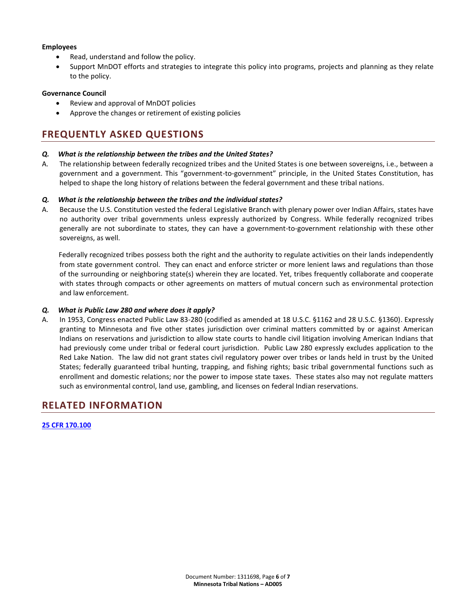### **Employees**

- Read, understand and follow the policy.
- Support MnDOT efforts and strategies to integrate this policy into programs, projects and planning as they relate to the policy.

### **Governance Council**

- Review and approval of MnDOT policies
- Approve the changes or retirement of existing policies

# **FREQUENTLY ASKED QUESTIONS**

### *Q. What is the relationship between the tribes and the United States?*

A. The relationship between federally recognized tribes and the United States is one between sovereigns, i.e., between a government and a government. This "government-to-government" principle, in the United States Constitution, has helped to shape the long history of relations between the federal government and these tribal nations.

### *Q. What is the relationship between the tribes and the individual states?*

A. Because the U.S. Constitution vested the federal Legislative Branch with plenary power over Indian Affairs, states have no authority over tribal governments unless expressly authorized by Congress. While federally recognized tribes generally are not subordinate to states, they can have a government-to-government relationship with these other sovereigns, as well.

Federally recognized tribes possess both the right and the authority to regulate activities on their lands independently from state government control. They can enact and enforce stricter or more lenient laws and regulations than those of the surrounding or neighboring state(s) wherein they are located. Yet, tribes frequently collaborate and cooperate with states through compacts or other agreements on matters of mutual concern such as environmental protection and law enforcement.

### *Q. What is Public Law 280 and where does it apply?*

A. In 1953, Congress enacted Public Law 83-280 (codified as amended at 18 U.S.C. §1162 and 28 U.S.C. §1360). Expressly granting to Minnesota and five other states jurisdiction over criminal matters committed by or against American Indians on reservations and jurisdiction to allow state courts to handle civil litigation involving American Indians that had previously come under tribal or federal court jurisdiction. Public Law 280 expressly excludes application to the Red Lake Nation. The law did not grant states civil regulatory power over tribes or lands held in trust by the United States; federally guaranteed tribal hunting, trapping, and fishing rights; basic tribal governmental functions such as enrollment and domestic relations; nor the power to impose state taxes. These states also may not regulate matters such as environmental control, land use, gambling, and licenses on federal Indian reservations.

# **RELATED INFORMATION**

### **[25 CFR 170.100](http://www.gpo.gov/fdsys/granule/CFR-2012-title25-vol1/CFR-2012-title25-vol1-sec170-100/content-detail.html)**